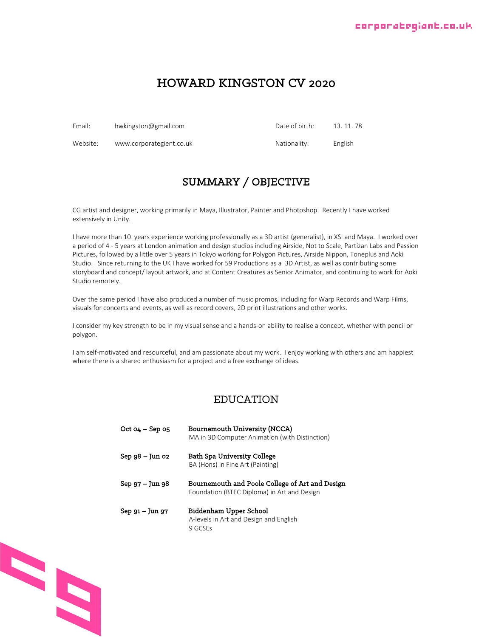#### corporatogiant.co.uk

## HOWARD KINGSTON CV 2020

Email: hwkingston@gmail.com **Date of birth:** 13.11.78 Website: www.corporategient.co.uk Nationality: English

## SUMMARY / OBJECTIVE

CG artist and designer, working primarily in Maya, Illustrator, Painter and Photoshop. Recently I have worked extensively in Unity.

I have more than 10 years experience working professionally as a 3D artist (generalist), in XSI and Maya. I worked over a period of 4 - 5 years at London animation and design studios including Airside, Not to Scale, Partizan Labs and Passion Pictures, followed by a little over 5 years in Tokyo working for Polygon Pictures, Airside Nippon, Toneplus and Aoki Studio. Since returning to the UK I have worked for 59 Productions as a 3D Artist, as well as contributing some storyboard and concept/ layout artwork, and at Content Creatures as Senior Animator, and continuing to work for Aoki Studio remotely.

Over the same period I have also produced a number of music promos, including for Warp Records and Warp Films, visuals for concerts and events, as well as record covers, 2D print illustrations and other works.

I consider my key strength to be in my visual sense and a hands-on ability to realise a concept, whether with pencil or polygon.

I am self-motivated and resourceful, and am passionate about my work. I enjoy working with others and am happiest where there is a shared enthusiasm for a project and a free exchange of ideas.

#### EDUCATION

| $Oct 04 - Sep 05$ | Bournemouth University (NCCA)<br>MA in 3D Computer Animation (with Distinction)                |
|-------------------|------------------------------------------------------------------------------------------------|
| $Sep 98 - Jun 02$ | Bath Spa University College<br>BA (Hons) in Fine Art (Painting)                                |
| Sep 97 – Jun 98   | Bournemouth and Poole College of Art and Design<br>Foundation (BTEC Diploma) in Art and Design |
| Sep 91 – Jun 97   | Biddenham Upper School<br>A-levels in Art and Design and English<br>9 GCSEs                    |

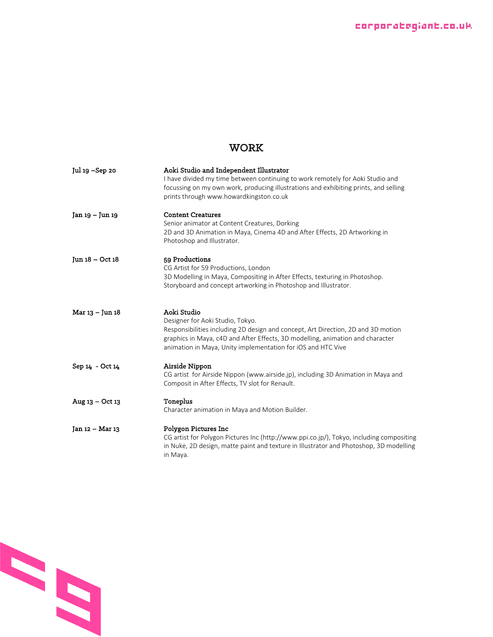## WORK

| Jul 19 – Sep 20 | Aoki Studio and Independent Illustrator<br>I have divided my time between continuing to work remotely for Aoki Studio and<br>focussing on my own work, producing illustrations and exhibiting prints, and selling<br>prints through www.howardkingston.co.uk                           |
|-----------------|----------------------------------------------------------------------------------------------------------------------------------------------------------------------------------------------------------------------------------------------------------------------------------------|
| Jan 19 – Jun 19 | <b>Content Creatures</b><br>Senior animator at Content Creatures, Dorking<br>2D and 3D Animation in Maya, Cinema 4D and After Effects, 2D Artworking in<br>Photoshop and Illustrator.                                                                                                  |
| Jun 18 - Oct 18 | 59 Productions<br>CG Artist for 59 Productions, London<br>3D Modelling in Maya, Compositing in After Effects, texturing in Photoshop.<br>Storyboard and concept artworking in Photoshop and Illustrator.                                                                               |
| Mar 13 - Jun 18 | Aoki Studio<br>Designer for Aoki Studio, Tokyo.<br>Responsibilities including 2D design and concept, Art Direction, 2D and 3D motion<br>graphics in Maya, c4D and After Effects, 3D modelling, animation and character<br>animation in Maya, Unity implementation for iOS and HTC Vive |
| Sep 14 - Oct 14 | Airside Nippon<br>CG artist for Airside Nippon (www.airside.jp), including 3D Animation in Maya and<br>Composit in After Effects, TV slot for Renault.                                                                                                                                 |
| Aug 13 - Oct 13 | Toneplus<br>Character animation in Maya and Motion Builder.                                                                                                                                                                                                                            |
| Jan 12 - Mar 13 | Polygon Pictures Inc<br>CG artist for Polygon Pictures Inc (http://www.ppi.co.jp/), Tokyo, including compositing<br>in Nuke, 2D design, matte paint and texture in Illustrator and Photoshop, 3D modelling<br>in Maya.                                                                 |

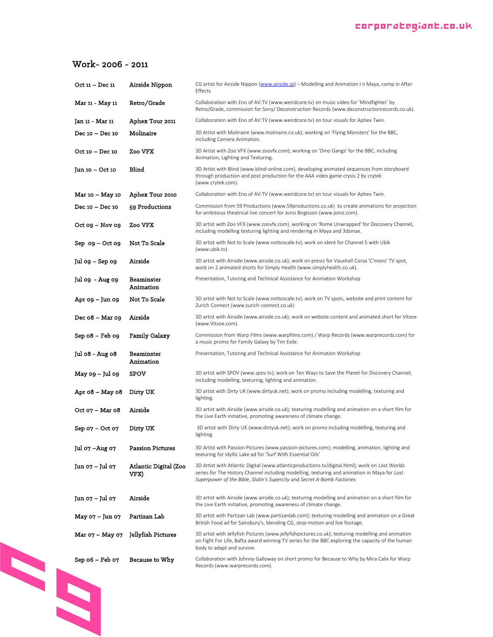#### corporategiant.co.uk

### Work- 2006 - 2011

| Oct 11 - Dec 11       | Airside Nippon                | CG artist for Airside Nippon (www.airside.jp) - Modelling and Animation I n Maya, comp in After<br>Effects                                                                                                                                                                |
|-----------------------|-------------------------------|---------------------------------------------------------------------------------------------------------------------------------------------------------------------------------------------------------------------------------------------------------------------------|
| Mar 11 - May 11       | Retro/Grade                   | Collaboration with Eno of AV:TV (www.weirdcore.tv) on music video for 'Mindfighter' by<br>Retro/Grade, commission for Sony/Deconstruction Records (www.deconstructionrecords.co.uk).                                                                                      |
| Jan 11 - Mar 11       | Aphex Tour 2011               | Collaboration with Eno of AV:TV (www.weirdcore.tv) on tour visuals for Aphex Twin.                                                                                                                                                                                        |
| Dec 10 - Dec 10       | Molinaire                     | 3D Artist with Molinaire (www.molinaire.co.uk); working on 'Flying Monsters' for the BBC,<br>including Camera Animation.                                                                                                                                                  |
| Oct 10 - Dec 10       | Zoo VFX                       | 3D Artist with Zoo VFX (www.zoovfx.com); working on 'Dino Gangs' for the BBC, including<br>Animation, Lighting and Texturing.                                                                                                                                             |
| Jun 10 – Oct 10       | Blind                         | 3D Artist with Blind (www.blind-online.com), developing animated sequences from storyboard<br>through production and post production for the AAA video game crysis 2 by crytek<br>(www.crytek.com).                                                                       |
| Mar 10 – May 10       | Aphex Tour 2010               | Collaboration with Eno of AV:TV (www.weirdcore.tv) on tour visuals for Aphex Twin.                                                                                                                                                                                        |
| Dec 10 - Dec 10       | 59 Productions                | Commission from 59 Productions (www.59productions.co.uk) to create animations for projection<br>for ambitious theatrical live concert for Jonsi Birgisson (www.jonsi.com).                                                                                                |
| $Oct$ $09 - Nov$ $09$ | Zoo VFX                       | 3D artist with Zoo VFX (www.zoovfx.com), working on 'Rome Unwrapped' for Discovery Channel,<br>including modelling texturing lighting and rendering in Maya and 3dsmax.                                                                                                   |
| Sep og – Oct og       | Not To Scale                  | 3D artist with Not to Scale (www.nottoscale.tv); work on ident for Channel 5 with Ubik<br>(www.ubik.tv).                                                                                                                                                                  |
| Jul 09 – Sep 09       | Airside                       | 3D artist with Airside (www.airside.co.uk); work on previz for Vauxhall Corsa 'C'mons' TV spot,<br>work on 2 animated shorts for Simply Health (www.simplyhealth.co.uk).                                                                                                  |
| Jul 09 - Aug 09       | Beaminster<br>Animation       | Presentation, Tutoring and Technical Assistance for Animation Workshop                                                                                                                                                                                                    |
| Apr 09 – Jun 09       | Not To Scale                  | 3D artist with Not to Scale (www.nottoscale.tv); work on TV spots, website and print content for<br>Zurich Connect (www.zurich-connect.co.uk)                                                                                                                             |
| Dec 08 - Mar 09       | Airside                       | 3D artist with Airside (www.airside.co.uk); work on website content and animated short for Vitsoe<br>(www.Vitsoe.com).                                                                                                                                                    |
| Sep 08 - Feb 09       | <b>Family Galaxy</b>          | Commission from Warp Films (www.warpfilms.com) / Warp Records (www.warprecords.com) for<br>a music promo for Family Galaxy by Tim Exile.                                                                                                                                  |
| Jul 08 - Aug 08       | Beaminster<br>Animation       | Presentation, Tutoring and Technical Assistance for Animation Workshop                                                                                                                                                                                                    |
| May 09 – Jul 09       | SPOV                          | 3D artist with SPOV (www.spov.tv); work on Ten Ways to Save the Planet for Discovery Channel,<br>including modelling, texturing, lighting and animation.                                                                                                                  |
| Apr 08 – May 08       | Dirty UK                      | 3D artist with Dirty UK (www.dirtyuk.net); work on promo including modelling, texturing and<br>lighting.                                                                                                                                                                  |
| Oct 07 - Mar 08       | Airside                       | 3D artist with Airside (www.airside.co.uk); texturing modelling and animation on a short film for<br>the Live Earth initiative, promoting awareness of climate change.                                                                                                    |
| Sep 07 – Oct 07       | Dirty UK                      | 3D artist with Dirty UK (www.dirtyuk.net); work on promo including modelling, texturing and<br>lighting.                                                                                                                                                                  |
| Jul 07 - Aug 07       | <b>Passion Pictures</b>       | 3D Artist with Passion Pictures (www.passion-pictures.com); modelling, animation, lighting and<br>texturing for Idyllic Lake ad for 'Surf With Essential Oils'                                                                                                            |
| Jun 07 – Jul 07       | Atlantic Digital (Zoo<br>VFX) | 3D Artist with Atlantic Digital (www.atlanticproductions.tv/digital.html); work on Lost Worlds<br>series for The History Channel including modelling, texturing and animation in Maya for Lost<br>Superpower of the Bible, Stalin's Supercity and Secret A-Bomb Factories |
| Jun 07 – Jul 07       | Airside                       | 3D artist with Airside (www.airside.co.uk); texturing modelling and animation on a short film for<br>the Live Earth initiative, promoting awareness of climate change.                                                                                                    |
| May 07 – Jun 07       | Partizan Lab                  | 3D artist with Partizan Lab (www.partizanlab.com); texturing modelling and animation on a Great<br>British Food ad for Sainsbury's, blending CG, stop-motion and live footage.                                                                                            |
| Mar 07 – May 07       | Jellyfish Pictures            | 3D artist with Jellyfish Pictures (www.jellyfishpictures.co.uk); texturing modelling and animation<br>on Fight For Life, Bafta award winning TV series for the BBC exploring the capacity of the human<br>body to adapt and survive.                                      |
| Sep 06 - Feb 07       | Because to Why                | Collaboration with Johnny Galloway on short promo for Because to Why by Mira Calix for Warp<br>Records (www.warprecords.com).                                                                                                                                             |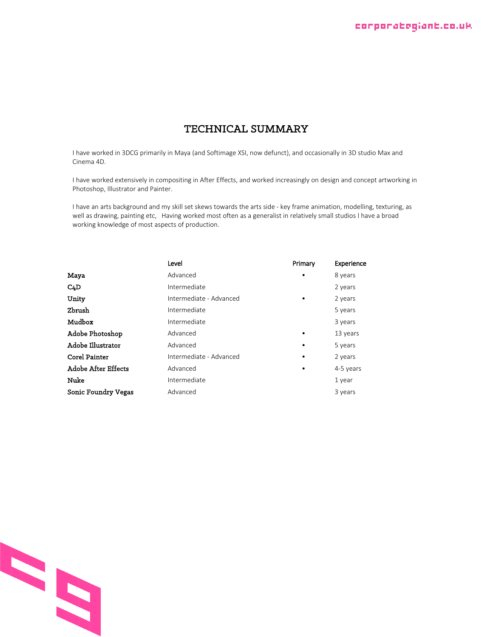## TECHNICAL SUMMARY

I have worked in 3DCG primarily in Maya (and Softimage XSI, now defunct), and occasionally in 3D studio Max and Cinema 4D.

I have worked extensively in compositing in After Effects, and worked increasingly on design and concept artworking in Photoshop, Illustrator and Painter.

I have an arts background and my skill set skews towards the arts side - key frame animation, modelling, texturing, as well as drawing, painting etc, Having worked most often as a generalist in relatively small studios I have a broad working knowledge of most aspects of production.

|                     | Level                   | Primary   | Experience |
|---------------------|-------------------------|-----------|------------|
| Maya                | Advanced                | $\bullet$ | 8 years    |
| C <sub>4</sub> D    | Intermediate            |           | 2 years    |
| Unity               | Intermediate - Advanced | $\bullet$ | 2 years    |
| Zbrush              | Intermediate            |           | 5 years    |
| Mudbox              | Intermediate            |           | 3 years    |
| Adobe Photoshop     | Advanced                | $\bullet$ | 13 years   |
| Adobe Illustrator   | Advanced                | $\bullet$ | 5 years    |
| Corel Painter       | Intermediate - Advanced |           | 2 years    |
| Adobe After Effects | Advanced                | ٠         | 4-5 years  |
| Nuke                | Intermediate            |           | 1 year     |
| Sonic Foundry Vegas | Advanced                |           | 3 years    |